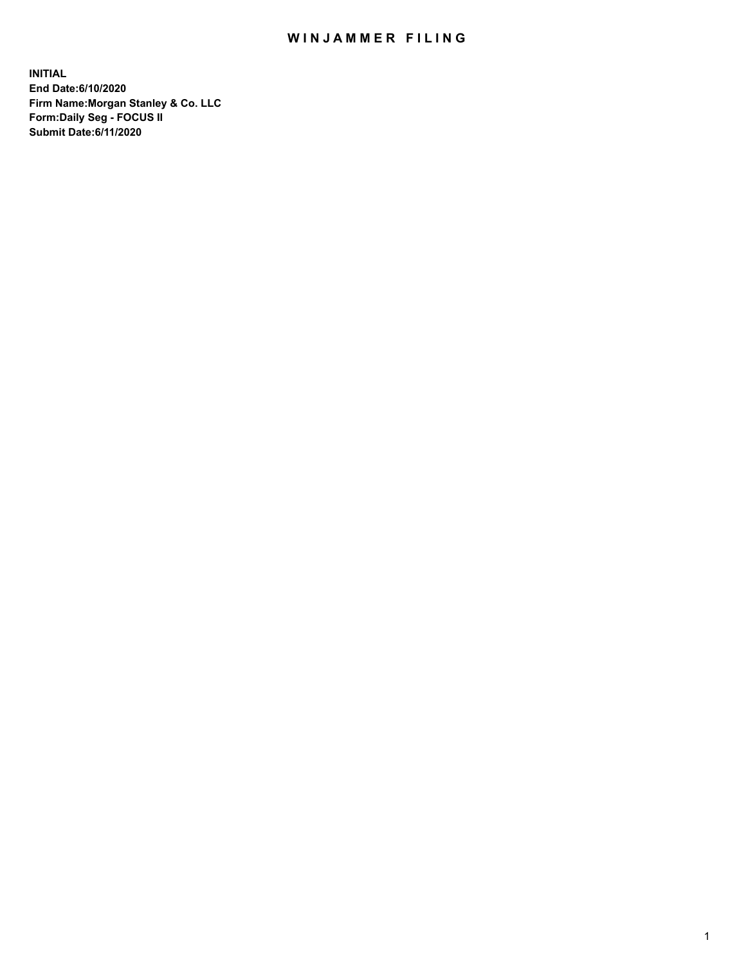## WIN JAMMER FILING

**INITIAL End Date:6/10/2020 Firm Name:Morgan Stanley & Co. LLC Form:Daily Seg - FOCUS II Submit Date:6/11/2020**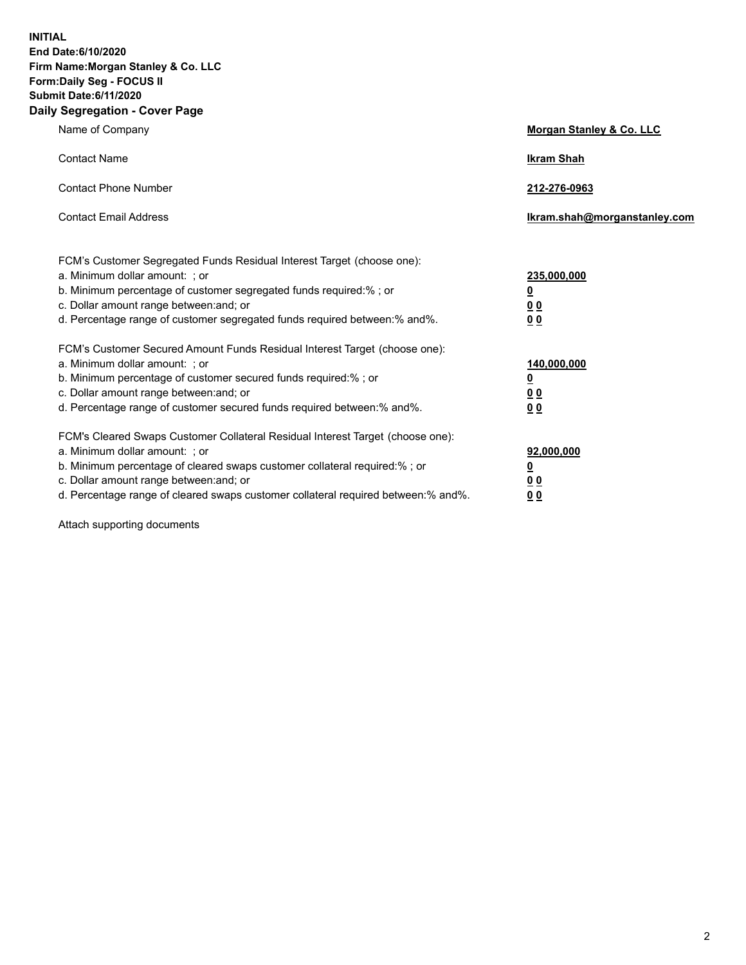**INITIAL End Date:6/10/2020 Firm Name:Morgan Stanley & Co. LLC Form:Daily Seg - FOCUS II Submit Date:6/11/2020 Daily Segregation - Cover Page**

| Name of Company                                                                                                                                                                                                                                                                                                                | Morgan Stanley & Co. LLC                                    |
|--------------------------------------------------------------------------------------------------------------------------------------------------------------------------------------------------------------------------------------------------------------------------------------------------------------------------------|-------------------------------------------------------------|
| <b>Contact Name</b>                                                                                                                                                                                                                                                                                                            | <b>Ikram Shah</b>                                           |
| <b>Contact Phone Number</b>                                                                                                                                                                                                                                                                                                    | 212-276-0963                                                |
| <b>Contact Email Address</b>                                                                                                                                                                                                                                                                                                   | Ikram.shah@morganstanley.com                                |
| FCM's Customer Segregated Funds Residual Interest Target (choose one):<br>a. Minimum dollar amount: ; or<br>b. Minimum percentage of customer segregated funds required:% ; or<br>c. Dollar amount range between: and; or<br>d. Percentage range of customer segregated funds required between:% and%.                         | 235,000,000<br><u>0</u><br><u>00</u><br>00                  |
| FCM's Customer Secured Amount Funds Residual Interest Target (choose one):<br>a. Minimum dollar amount: ; or<br>b. Minimum percentage of customer secured funds required:%; or<br>c. Dollar amount range between: and; or<br>d. Percentage range of customer secured funds required between: % and %.                          | 140,000,000<br><u>0</u><br>0 <sub>0</sub><br>0 <sub>0</sub> |
| FCM's Cleared Swaps Customer Collateral Residual Interest Target (choose one):<br>a. Minimum dollar amount: ; or<br>b. Minimum percentage of cleared swaps customer collateral required:% ; or<br>c. Dollar amount range between: and; or<br>d. Percentage range of cleared swaps customer collateral required between:% and%. | 92,000,000<br><u>0</u><br><u>00</u><br>00                   |

Attach supporting documents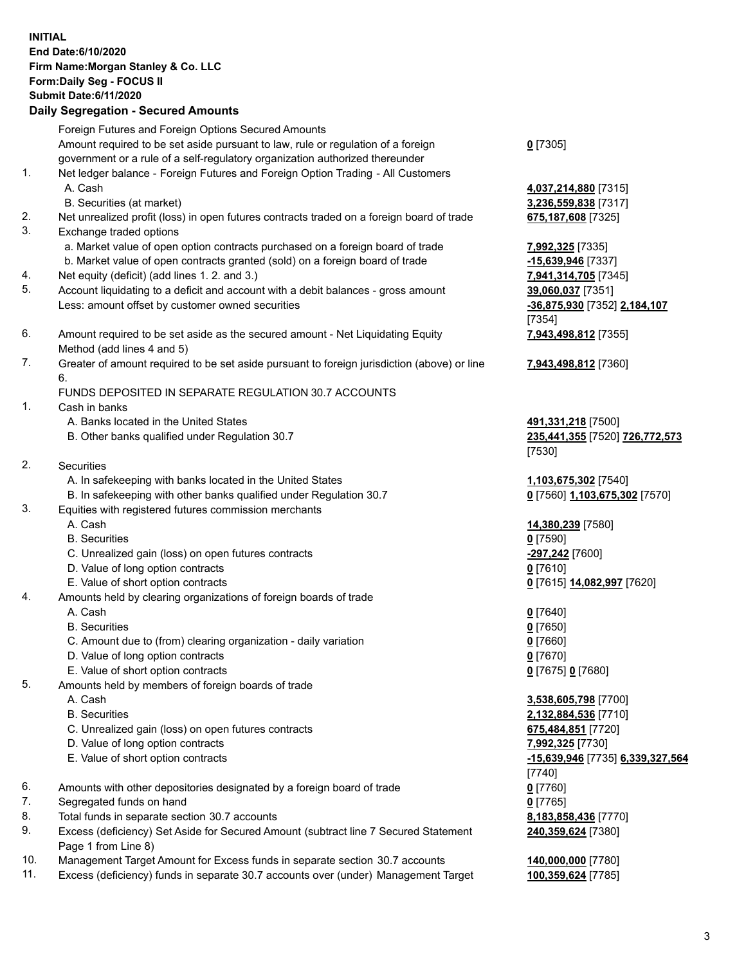| <b>INITIAL</b> | End Date: 6/10/2020<br>Firm Name: Morgan Stanley & Co. LLC<br>Form: Daily Seg - FOCUS II<br><b>Submit Date:6/11/2020</b><br><b>Daily Segregation - Secured Amounts</b> |                                  |
|----------------|------------------------------------------------------------------------------------------------------------------------------------------------------------------------|----------------------------------|
|                | Foreign Futures and Foreign Options Secured Amounts                                                                                                                    |                                  |
|                | Amount required to be set aside pursuant to law, rule or regulation of a foreign<br>government or a rule of a self-regulatory organization authorized thereunder       | $0$ [7305]                       |
| 1.             | Net ledger balance - Foreign Futures and Foreign Option Trading - All Customers<br>A. Cash                                                                             | 4,037,214,880 [7315]             |
|                | B. Securities (at market)                                                                                                                                              | 3,236,559,838 [7317]             |
| 2.<br>3.       | Net unrealized profit (loss) in open futures contracts traded on a foreign board of trade<br>Exchange traded options                                                   | 675,187,608 [7325]               |
|                | a. Market value of open option contracts purchased on a foreign board of trade                                                                                         | 7,992,325 [7335]                 |
|                | b. Market value of open contracts granted (sold) on a foreign board of trade                                                                                           | -15,639,946 [7337]               |
| 4.             | Net equity (deficit) (add lines 1.2. and 3.)                                                                                                                           | 7,941,314,705 [7345]             |
| 5.             | Account liquidating to a deficit and account with a debit balances - gross amount                                                                                      | 39,060,037 [7351]                |
|                | Less: amount offset by customer owned securities                                                                                                                       | -36,875,930 [7352] 2,184,107     |
| 6.             |                                                                                                                                                                        | [7354]                           |
|                | Amount required to be set aside as the secured amount - Net Liquidating Equity<br>Method (add lines 4 and 5)                                                           | 7,943,498,812 [7355]             |
| 7.             | Greater of amount required to be set aside pursuant to foreign jurisdiction (above) or line                                                                            | 7,943,498,812 [7360]             |
|                | 6.                                                                                                                                                                     |                                  |
|                | FUNDS DEPOSITED IN SEPARATE REGULATION 30.7 ACCOUNTS                                                                                                                   |                                  |
| 1.             | Cash in banks                                                                                                                                                          |                                  |
|                | A. Banks located in the United States                                                                                                                                  | 491,331,218 [7500]               |
|                | B. Other banks qualified under Regulation 30.7                                                                                                                         | 235,441,355 [7520] 726,772,573   |
| 2.             | Securities                                                                                                                                                             | [7530]                           |
|                | A. In safekeeping with banks located in the United States                                                                                                              | 1,103,675,302 [7540]             |
|                | B. In safekeeping with other banks qualified under Regulation 30.7                                                                                                     | 0 [7560] 1,103,675,302 [7570]    |
| 3.             | Equities with registered futures commission merchants                                                                                                                  |                                  |
|                | A. Cash                                                                                                                                                                | 14,380,239 [7580]                |
|                | <b>B.</b> Securities                                                                                                                                                   | $0$ [7590]                       |
|                | C. Unrealized gain (loss) on open futures contracts                                                                                                                    | -297,242 [7600]                  |
|                | D. Value of long option contracts                                                                                                                                      | $0$ [7610]                       |
|                | E. Value of short option contracts                                                                                                                                     | 0 [7615] 14,082,997 [7620]       |
| 4.             | Amounts held by clearing organizations of foreign boards of trade<br>A. Cash                                                                                           | $0$ [7640]                       |
|                | <b>B.</b> Securities                                                                                                                                                   | $0$ [7650]                       |
|                | C. Amount due to (from) clearing organization - daily variation                                                                                                        | $0$ [7660]                       |
|                | D. Value of long option contracts                                                                                                                                      | $0$ [7670]                       |
|                | E. Value of short option contracts                                                                                                                                     | 0 [7675] 0 [7680]                |
| 5.             | Amounts held by members of foreign boards of trade                                                                                                                     |                                  |
|                | A. Cash                                                                                                                                                                | 3,538,605,798 [7700]             |
|                | <b>B.</b> Securities                                                                                                                                                   | 2,132,884,536 [7710]             |
|                | C. Unrealized gain (loss) on open futures contracts                                                                                                                    | 675,484,851 [7720]               |
|                | D. Value of long option contracts                                                                                                                                      | 7,992,325 [7730]                 |
|                | E. Value of short option contracts                                                                                                                                     | -15,639,946 [7735] 6,339,327,564 |
| 6.             | Amounts with other depositories designated by a foreign board of trade                                                                                                 | $[7740]$<br>$0$ [7760]           |
| 7.             | Segregated funds on hand                                                                                                                                               | $0$ [7765]                       |
| 8.             | Total funds in separate section 30.7 accounts                                                                                                                          | 8,183,858,436 [7770]             |
| 9.             | Excess (deficiency) Set Aside for Secured Amount (subtract line 7 Secured Statement                                                                                    | 240,359,624 [7380]               |
| 10.            | Page 1 from Line 8)<br>Management Target Amount for Excess funds in separate section 30.7 accounts                                                                     | 140,000,000 [7780]               |
|                |                                                                                                                                                                        |                                  |

11. Excess (deficiency) funds in separate 30.7 accounts over (under) Management Target **100,359,624** [7785]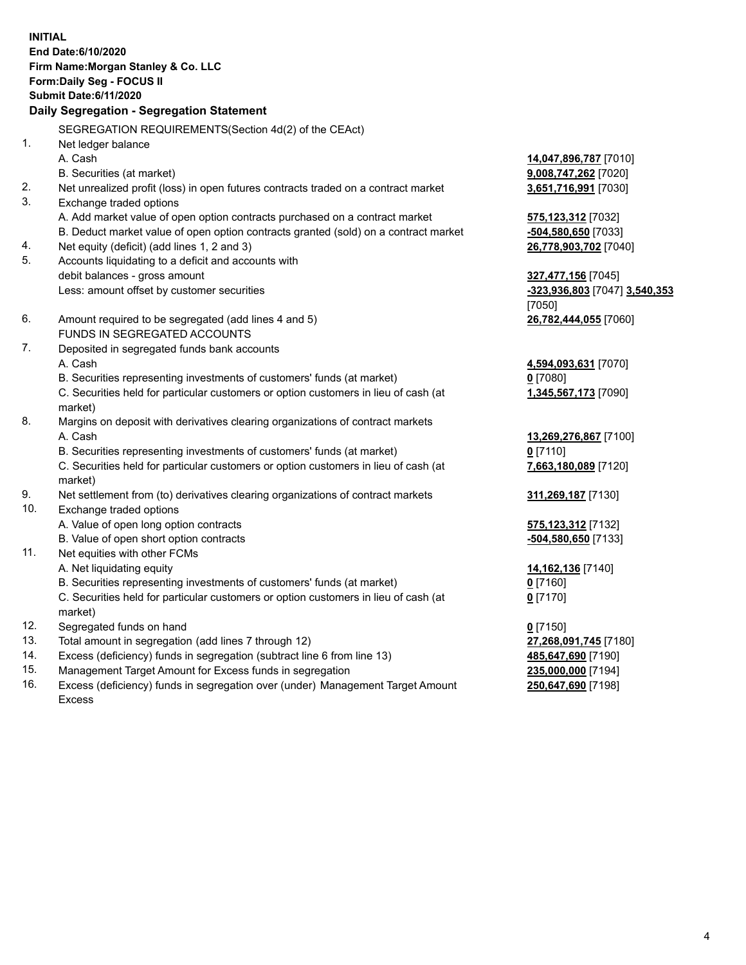**INITIAL End Date:6/10/2020 Firm Name:Morgan Stanley & Co. LLC Form:Daily Seg - FOCUS II Submit Date:6/11/2020 Daily Segregation - Segregation Statement** SEGREGATION REQUIREMENTS(Section 4d(2) of the CEAct) 1. Net ledger balance A. Cash **14,047,896,787** [7010] B. Securities (at market) **9,008,747,262** [7020] 2. Net unrealized profit (loss) in open futures contracts traded on a contract market **3,651,716,991** [7030] 3. Exchange traded options A. Add market value of open option contracts purchased on a contract market **575,123,312** [7032] B. Deduct market value of open option contracts granted (sold) on a contract market **-504,580,650** [7033] 4. Net equity (deficit) (add lines 1, 2 and 3) **26,778,903,702** [7040] 5. Accounts liquidating to a deficit and accounts with debit balances - gross amount **327,477,156** [7045] Less: amount offset by customer securities **-323,936,803** [7047] **3,540,353** [7050] 6. Amount required to be segregated (add lines 4 and 5) **26,782,444,055** [7060] FUNDS IN SEGREGATED ACCOUNTS 7. Deposited in segregated funds bank accounts A. Cash **4,594,093,631** [7070] B. Securities representing investments of customers' funds (at market) **0** [7080] C. Securities held for particular customers or option customers in lieu of cash (at market) **1,345,567,173** [7090] 8. Margins on deposit with derivatives clearing organizations of contract markets A. Cash **13,269,276,867** [7100] B. Securities representing investments of customers' funds (at market) **0** [7110] C. Securities held for particular customers or option customers in lieu of cash (at market) **7,663,180,089** [7120] 9. Net settlement from (to) derivatives clearing organizations of contract markets **311,269,187** [7130] 10. Exchange traded options A. Value of open long option contracts **575,123,312** [7132] B. Value of open short option contracts **and the set of our original contracts -504,580,650** [7133] 11. Net equities with other FCMs A. Net liquidating equity **14,162,136** [7140] B. Securities representing investments of customers' funds (at market) **0** [7160] C. Securities held for particular customers or option customers in lieu of cash (at market) **0** [7170] 12. Segregated funds on hand **0** [7150] 13. Total amount in segregation (add lines 7 through 12) **27,268,091,745** [7180] 14. Excess (deficiency) funds in segregation (subtract line 6 from line 13) **485,647,690** [7190] 15. Management Target Amount for Excess funds in segregation **235,000,000** [7194]

16. Excess (deficiency) funds in segregation over (under) Management Target Amount Excess

**250,647,690** [7198]